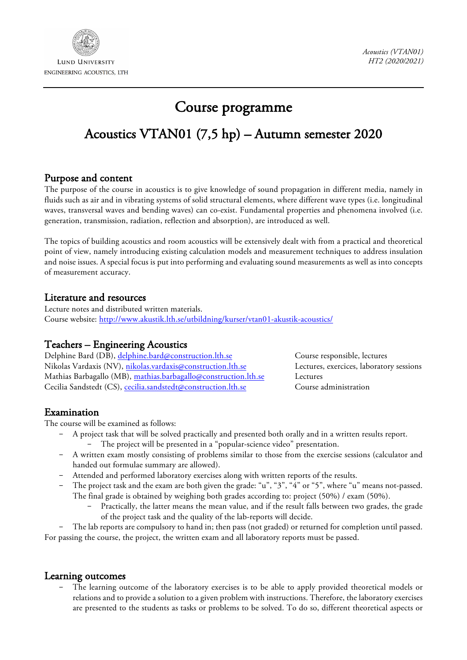

# Course programme

## Acoustics VTAN01 (7,5 hp) – Autumn semester 2020

## Purpose and content

The purpose of the course in acoustics is to give knowledge of sound propagation in different media, namely in fluids such as air and in vibrating systems of solid structural elements, where different wave types (i.e. longitudinal waves, transversal waves and bending waves) can co-exist. Fundamental properties and phenomena involved (i.e. generation, transmission, radiation, reflection and absorption), are introduced as well.

The topics of building acoustics and room acoustics will be extensively dealt with from a practical and theoretical point of view, namely introducing existing calculation models and measurement techniques to address insulation and noise issues. A special focus is put into performing and evaluating sound measurements as well as into concepts of measurement accuracy.

### Literature and resources

Lecture notes and distributed written materials. Course website: http://www.akustik.lth.se/utbildning/kurser/vtan01-akustik-acoustics/

## Teachers – Engineering Acoustics

Delphine Bard (DB), delphine.bard@construction.lth.se Course responsible, lectures Nikolas Vardaxis (NV), nikolas.vardaxis@construction.lth.se Lectures, exercices, laboratory sessions Mathias Barbagallo (MB), mathias.barbagallo@construction.lth.se Lectures Cecilia Sandstedt (CS), cecilia.sandstedt@construction.lth.se Course administration

## Examination

The course will be examined as follows:

- A project task that will be solved practically and presented both orally and in a written results report.
	- The project will be presented in a "popular-science video" presentation.
- A written exam mostly consisting of problems similar to those from the exercise sessions (calculator and handed out formulae summary are allowed).
- Attended and performed laboratory exercises along with written reports of the results.
- The project task and the exam are both given the grade: "u", "3", "4" or "5", where "u" means not-passed. The final grade is obtained by weighing both grades according to: project (50%) / exam (50%).
	- Practically, the latter means the mean value, and if the result falls between two grades, the grade of the project task and the quality of the lab-reports will decide.

The lab reports are compulsory to hand in; then pass (not graded) or returned for completion until passed. For passing the course, the project, the written exam and all laboratory reports must be passed.

#### Learning outcomes

The learning outcome of the laboratory exercises is to be able to apply provided theoretical models or relations and to provide a solution to a given problem with instructions. Therefore, the laboratory exercises are presented to the students as tasks or problems to be solved. To do so, different theoretical aspects or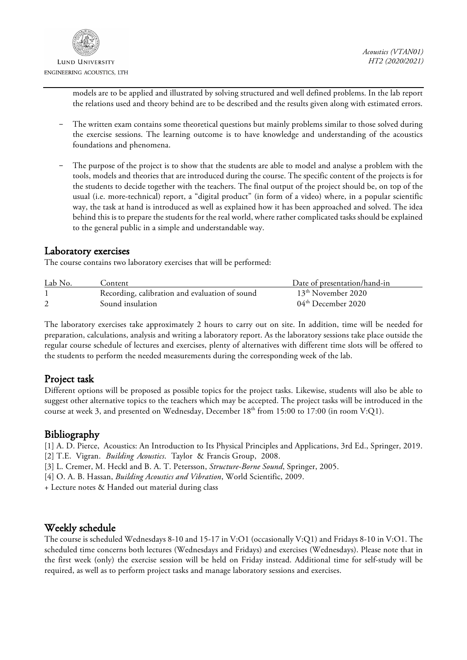

models are to be applied and illustrated by solving structured and well defined problems. In the lab report the relations used and theory behind are to be described and the results given along with estimated errors.

- The written exam contains some theoretical questions but mainly problems similar to those solved during the exercise sessions. The learning outcome is to have knowledge and understanding of the acoustics foundations and phenomena.
- The purpose of the project is to show that the students are able to model and analyse a problem with the tools, models and theories that are introduced during the course. The specific content of the projects is for the students to decide together with the teachers. The final output of the project should be, on top of the usual (i.e. more-technical) report, a "digital product" (in form of a video) where, in a popular scientific way, the task at hand is introduced as well as explained how it has been approached and solved. The idea behind this is to prepare the students for the real world, where rather complicated tasks should be explained to the general public in a simple and understandable way.

#### Laboratory exercises

The course contains two laboratory exercises that will be performed:

| Lab No. | Content                                        | Date of presentation/hand-in |
|---------|------------------------------------------------|------------------------------|
|         | Recording, calibration and evaluation of sound | $13th$ November 2020         |
|         | Sound insulation                               | $04th$ December 2020         |

The laboratory exercises take approximately 2 hours to carry out on site. In addition, time will be needed for preparation, calculations, analysis and writing a laboratory report. As the laboratory sessions take place outside the regular course schedule of lectures and exercises, plenty of alternatives with different time slots will be offered to the students to perform the needed measurements during the corresponding week of the lab.

## Project task

Different options will be proposed as possible topics for the project tasks. Likewise, students will also be able to suggest other alternative topics to the teachers which may be accepted. The project tasks will be introduced in the course at week 3, and presented on Wednesday, December 18<sup>th</sup> from 15:00 to 17:00 (in room V:Q1).

## Bibliography

[1] A. D. Pierce, Acoustics: An Introduction to Its Physical Principles and Applications, 3rd Ed., Springer, 2019.

- [2] T.E. Vigran. *Building Acoustics*. Taylor & Francis Group, 2008.
- [3] L. Cremer, M. Heckl and B. A. T. Petersson, *Structure-Borne Sound*, Springer, 2005.
- [4] O. A. B. Hassan, *Building Acoustics and Vibration*, World Scientific, 2009.

+ Lecture notes & Handed out material during class

## Weekly schedule

The course is scheduled Wednesdays 8-10 and 15-17 in V:O1 (occasionally V:Q1) and Fridays 8-10 in V:O1. The scheduled time concerns both lectures (Wednesdays and Fridays) and exercises (Wednesdays). Please note that in the first week (only) the exercise session will be held on Friday instead. Additional time for self-study will be required, as well as to perform project tasks and manage laboratory sessions and exercises.